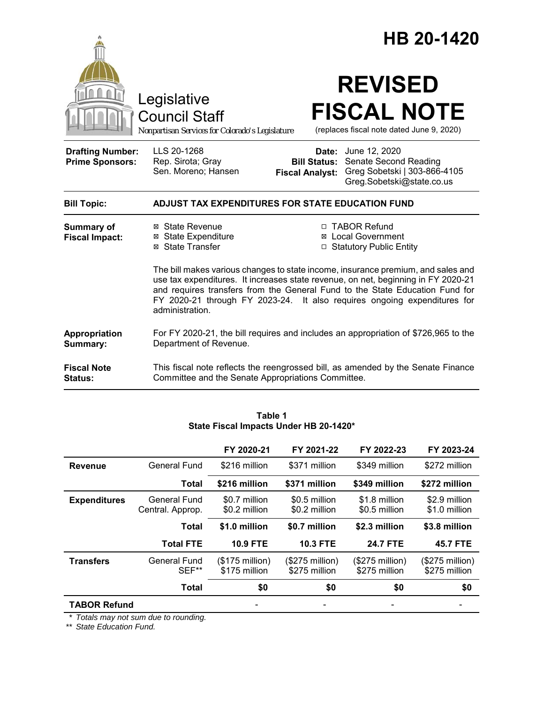|                                                   |                                                                                                                                                                                                                                                                                                                                                      | HB 20-1420                                                                                                                                                        |  |
|---------------------------------------------------|------------------------------------------------------------------------------------------------------------------------------------------------------------------------------------------------------------------------------------------------------------------------------------------------------------------------------------------------------|-------------------------------------------------------------------------------------------------------------------------------------------------------------------|--|
|                                                   | Legislative<br><b>Council Staff</b><br>Nonpartisan Services for Colorado's Legislature                                                                                                                                                                                                                                                               | <b>REVISED</b><br><b>FISCAL NOTE</b><br>(replaces fiscal note dated June 9, 2020)                                                                                 |  |
| <b>Drafting Number:</b><br><b>Prime Sponsors:</b> | LLS 20-1268<br>Rep. Sirota; Gray<br>Sen. Moreno; Hansen                                                                                                                                                                                                                                                                                              | <b>Date:</b> June 12, 2020<br>Senate Second Reading<br><b>Bill Status:</b><br>Greg Sobetski   303-866-4105<br><b>Fiscal Analyst:</b><br>Greg.Sobetski@state.co.us |  |
| <b>Bill Topic:</b>                                | ADJUST TAX EXPENDITURES FOR STATE EDUCATION FUND                                                                                                                                                                                                                                                                                                     |                                                                                                                                                                   |  |
| Summary of<br><b>Fiscal Impact:</b>               | ⊠ State Revenue<br><b>⊠</b> State Expenditure<br>⊠ State Transfer                                                                                                                                                                                                                                                                                    | □ TABOR Refund<br>⊠ Local Government<br>□ Statutory Public Entity                                                                                                 |  |
|                                                   | The bill makes various changes to state income, insurance premium, and sales and<br>use tax expenditures. It increases state revenue, on net, beginning in FY 2020-21<br>and requires transfers from the General Fund to the State Education Fund for<br>FY 2020-21 through FY 2023-24. It also requires ongoing expenditures for<br>administration. |                                                                                                                                                                   |  |
| Appropriation<br>Summary:                         | Department of Revenue.                                                                                                                                                                                                                                                                                                                               | For FY 2020-21, the bill requires and includes an appropriation of \$726,965 to the                                                                               |  |
| <b>Fiscal Note</b><br><b>Status:</b>              | Committee and the Senate Appropriations Committee.                                                                                                                                                                                                                                                                                                   | This fiscal note reflects the reengrossed bill, as amended by the Senate Finance                                                                                  |  |

|                     |                                         | FY 2020-21                        | FY 2021-22                       | FY 2022-23                       | FY 2023-24                       |
|---------------------|-----------------------------------------|-----------------------------------|----------------------------------|----------------------------------|----------------------------------|
| <b>Revenue</b>      | General Fund                            | \$216 million                     | \$371 million                    | \$349 million                    | \$272 million                    |
|                     | <b>Total</b>                            | \$216 million                     | \$371 million                    | \$349 million                    | \$272 million                    |
| <b>Expenditures</b> | <b>General Fund</b><br>Central. Approp. | \$0.7 million<br>\$0.2 million    | \$0.5 million<br>\$0.2 million   | \$1.8 million<br>\$0.5 million   | \$2.9 million<br>\$1.0 million   |
|                     | <b>Total</b>                            | \$1.0 million                     | \$0.7 million                    | \$2.3 million                    | \$3.8 million                    |
|                     | <b>Total FTE</b>                        | <b>10.9 FTE</b>                   | <b>10.3 FTE</b>                  | <b>24.7 FTE</b>                  | <b>45.7 FTE</b>                  |
| <b>Transfers</b>    | General Fund<br>SEF**                   | $($175$ million)<br>\$175 million | (\$275 million)<br>\$275 million | (\$275 million)<br>\$275 million | (\$275 million)<br>\$275 million |
|                     | <b>Total</b>                            | \$0                               | \$0                              | \$0                              | \$0                              |
| <b>TABOR Refund</b> |                                         |                                   |                                  |                                  |                                  |

**Table 1 State Fiscal Impacts Under HB 20-1420\***

*\* Totals may not sum due to rounding.*

*\*\* State Education Fund.*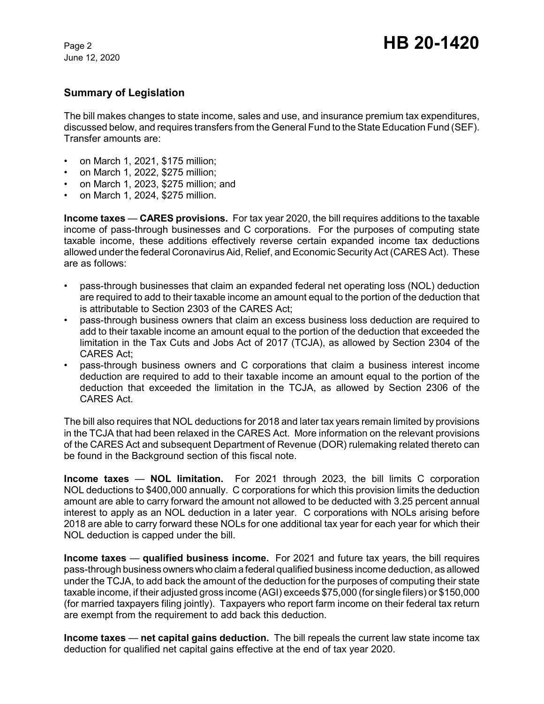# **Summary of Legislation**

The bill makes changes to state income, sales and use, and insurance premium tax expenditures, discussed below, and requires transfers from the General Fund to the State Education Fund (SEF). Transfer amounts are:

- on March 1, 2021, \$175 million;
- on March 1, 2022, \$275 million;
- on March 1, 2023, \$275 million; and
- on March 1, 2024, \$275 million.

**Income taxes** — **CARES provisions.** For tax year 2020, the bill requires additions to the taxable income of pass-through businesses and C corporations. For the purposes of computing state taxable income, these additions effectively reverse certain expanded income tax deductions allowed under the federal Coronavirus Aid, Relief, and Economic Security Act (CARES Act). These are as follows:

- pass-through businesses that claim an expanded federal net operating loss (NOL) deduction are required to add to their taxable income an amount equal to the portion of the deduction that is attributable to Section 2303 of the CARES Act;
- pass-through business owners that claim an excess business loss deduction are required to add to their taxable income an amount equal to the portion of the deduction that exceeded the limitation in the Tax Cuts and Jobs Act of 2017 (TCJA), as allowed by Section 2304 of the CARES Act;
- pass-through business owners and C corporations that claim a business interest income deduction are required to add to their taxable income an amount equal to the portion of the deduction that exceeded the limitation in the TCJA, as allowed by Section 2306 of the CARES Act.

The bill also requires that NOL deductions for 2018 and later tax years remain limited by provisions in the TCJA that had been relaxed in the CARES Act. More information on the relevant provisions of the CARES Act and subsequent Department of Revenue (DOR) rulemaking related thereto can be found in the Background section of this fiscal note.

**Income taxes** — **NOL limitation.** For 2021 through 2023, the bill limits C corporation NOL deductions to \$400,000 annually. C corporations for which this provision limits the deduction amount are able to carry forward the amount not allowed to be deducted with 3.25 percent annual interest to apply as an NOL deduction in a later year. C corporations with NOLs arising before 2018 are able to carry forward these NOLs for one additional tax year for each year for which their NOL deduction is capped under the bill.

**Income taxes — qualified business income.** For 2021 and future tax vears, the bill requires pass-through business owners who claim a federal qualified business income deduction, as allowed under the TCJA, to add back the amount of the deduction for the purposes of computing their state taxable income, if their adjusted gross income (AGI) exceeds \$75,000 (for single filers) or \$150,000 (for married taxpayers filing jointly). Taxpayers who report farm income on their federal tax return are exempt from the requirement to add back this deduction.

**Income taxes** — **net capital gains deduction.** The bill repeals the current law state income tax deduction for qualified net capital gains effective at the end of tax year 2020.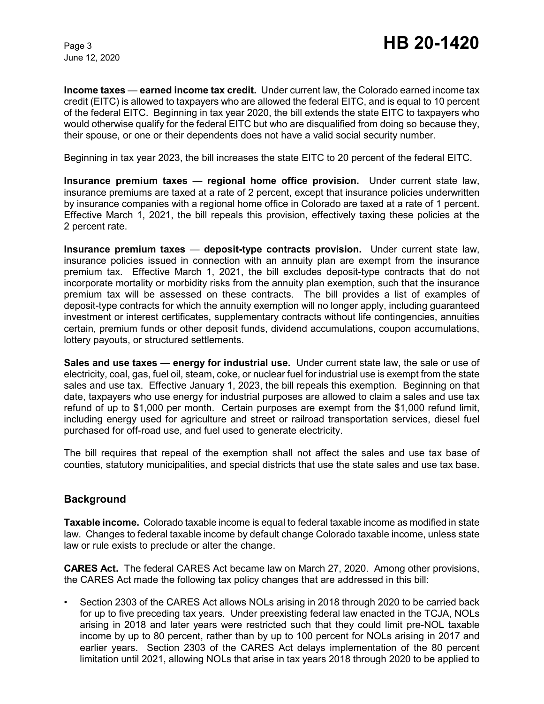**Income taxes** — **earned income tax credit.** Under current law, the Colorado earned income tax credit (EITC) is allowed to taxpayers who are allowed the federal EITC, and is equal to 10 percent of the federal EITC. Beginning in tax year 2020, the bill extends the state EITC to taxpayers who would otherwise qualify for the federal EITC but who are disqualified from doing so because they, their spouse, or one or their dependents does not have a valid social security number.

Beginning in tax year 2023, the bill increases the state EITC to 20 percent of the federal EITC.

**Insurance premium taxes** — **regional home office provision.** Under current state law, insurance premiums are taxed at a rate of 2 percent, except that insurance policies underwritten by insurance companies with a regional home office in Colorado are taxed at a rate of 1 percent. Effective March 1, 2021, the bill repeals this provision, effectively taxing these policies at the 2 percent rate.

**Insurance premium taxes** — **deposit-type contracts provision.** Under current state law, insurance policies issued in connection with an annuity plan are exempt from the insurance premium tax. Effective March 1, 2021, the bill excludes deposit-type contracts that do not incorporate mortality or morbidity risks from the annuity plan exemption, such that the insurance premium tax will be assessed on these contracts. The bill provides a list of examples of deposit-type contracts for which the annuity exemption will no longer apply, including guaranteed investment or interest certificates, supplementary contracts without life contingencies, annuities certain, premium funds or other deposit funds, dividend accumulations, coupon accumulations, lottery payouts, or structured settlements.

**Sales and use taxes** — **energy for industrial use.** Under current state law, the sale or use of electricity, coal, gas, fuel oil, steam, coke, or nuclear fuel for industrial use is exempt from the state sales and use tax. Effective January 1, 2023, the bill repeals this exemption. Beginning on that date, taxpayers who use energy for industrial purposes are allowed to claim a sales and use tax refund of up to \$1,000 per month. Certain purposes are exempt from the \$1,000 refund limit, including energy used for agriculture and street or railroad transportation services, diesel fuel purchased for off-road use, and fuel used to generate electricity.

The bill requires that repeal of the exemption shall not affect the sales and use tax base of counties, statutory municipalities, and special districts that use the state sales and use tax base.

# **Background**

**Taxable income.** Colorado taxable income is equal to federal taxable income as modified in state law. Changes to federal taxable income by default change Colorado taxable income, unless state law or rule exists to preclude or alter the change.

**CARES Act.** The federal CARES Act became law on March 27, 2020. Among other provisions, the CARES Act made the following tax policy changes that are addressed in this bill:

• Section 2303 of the CARES Act allows NOLs arising in 2018 through 2020 to be carried back for up to five preceding tax years. Under preexisting federal law enacted in the TCJA, NOLs arising in 2018 and later years were restricted such that they could limit pre-NOL taxable income by up to 80 percent, rather than by up to 100 percent for NOLs arising in 2017 and earlier years. Section 2303 of the CARES Act delays implementation of the 80 percent limitation until 2021, allowing NOLs that arise in tax years 2018 through 2020 to be applied to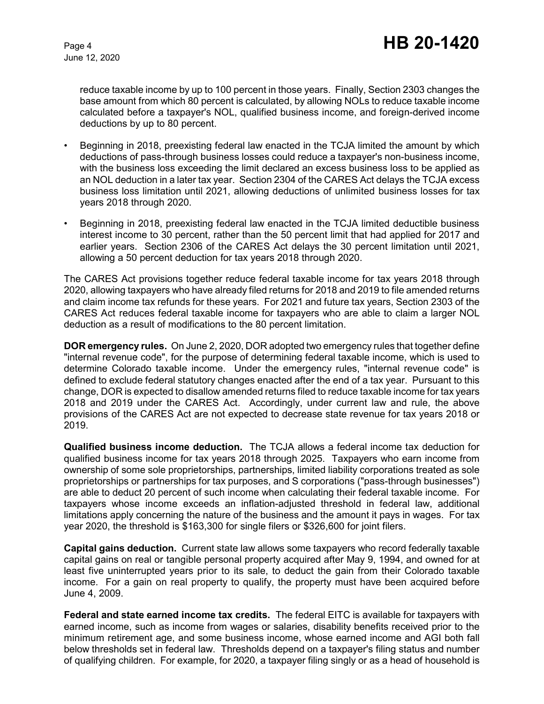reduce taxable income by up to 100 percent in those years. Finally, Section 2303 changes the base amount from which 80 percent is calculated, by allowing NOLs to reduce taxable income calculated before a taxpayer's NOL, qualified business income, and foreign-derived income deductions by up to 80 percent.

- Beginning in 2018, preexisting federal law enacted in the TCJA limited the amount by which deductions of pass-through business losses could reduce a taxpayer's non-business income, with the business loss exceeding the limit declared an excess business loss to be applied as an NOL deduction in a later tax year. Section 2304 of the CARES Act delays the TCJA excess business loss limitation until 2021, allowing deductions of unlimited business losses for tax years 2018 through 2020.
- Beginning in 2018, preexisting federal law enacted in the TCJA limited deductible business interest income to 30 percent, rather than the 50 percent limit that had applied for 2017 and earlier years. Section 2306 of the CARES Act delays the 30 percent limitation until 2021, allowing a 50 percent deduction for tax years 2018 through 2020.

The CARES Act provisions together reduce federal taxable income for tax years 2018 through 2020, allowing taxpayers who have already filed returns for 2018 and 2019 to file amended returns and claim income tax refunds for these years. For 2021 and future tax years, Section 2303 of the CARES Act reduces federal taxable income for taxpayers who are able to claim a larger NOL deduction as a result of modifications to the 80 percent limitation.

**DOR emergency rules.** On June 2, 2020, DOR adopted two emergency rules that together define "internal revenue code", for the purpose of determining federal taxable income, which is used to determine Colorado taxable income. Under the emergency rules, "internal revenue code" is defined to exclude federal statutory changes enacted after the end of a tax year. Pursuant to this change, DOR is expected to disallow amended returns filed to reduce taxable income for tax years 2018 and 2019 under the CARES Act. Accordingly, under current law and rule, the above provisions of the CARES Act are not expected to decrease state revenue for tax years 2018 or 2019.

**Qualified business income deduction.** The TCJA allows a federal income tax deduction for qualified business income for tax years 2018 through 2025. Taxpayers who earn income from ownership of some sole proprietorships, partnerships, limited liability corporations treated as sole proprietorships or partnerships for tax purposes, and S corporations ("pass-through businesses") are able to deduct 20 percent of such income when calculating their federal taxable income. For taxpayers whose income exceeds an inflation-adjusted threshold in federal law, additional limitations apply concerning the nature of the business and the amount it pays in wages. For tax year 2020, the threshold is \$163,300 for single filers or \$326,600 for joint filers.

**Capital gains deduction.** Current state law allows some taxpayers who record federally taxable capital gains on real or tangible personal property acquired after May 9, 1994, and owned for at least five uninterrupted years prior to its sale, to deduct the gain from their Colorado taxable income. For a gain on real property to qualify, the property must have been acquired before June 4, 2009.

**Federal and state earned income tax credits.** The federal EITC is available for taxpayers with earned income, such as income from wages or salaries, disability benefits received prior to the minimum retirement age, and some business income, whose earned income and AGI both fall below thresholds set in federal law. Thresholds depend on a taxpayer's filing status and number of qualifying children. For example, for 2020, a taxpayer filing singly or as a head of household is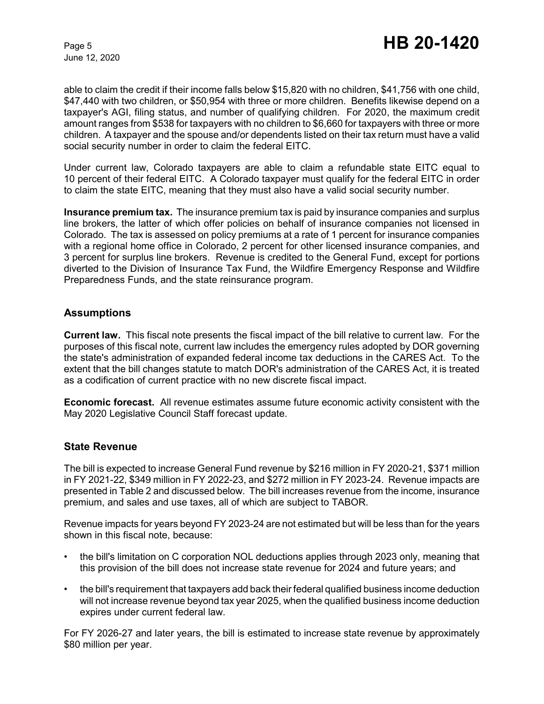able to claim the credit if their income falls below \$15,820 with no children, \$41,756 with one child, \$47,440 with two children, or \$50,954 with three or more children. Benefits likewise depend on a taxpayer's AGI, filing status, and number of qualifying children. For 2020, the maximum credit amount ranges from \$538 for taxpayers with no children to \$6,660 for taxpayers with three or more children. A taxpayer and the spouse and/or dependents listed on their tax return must have a valid social security number in order to claim the federal EITC.

Under current law, Colorado taxpayers are able to claim a refundable state EITC equal to 10 percent of their federal EITC. A Colorado taxpayer must qualify for the federal EITC in order to claim the state EITC, meaning that they must also have a valid social security number.

**Insurance premium tax.** The insurance premium tax is paid by insurance companies and surplus line brokers, the latter of which offer policies on behalf of insurance companies not licensed in Colorado. The tax is assessed on policy premiums at a rate of 1 percent for insurance companies with a regional home office in Colorado, 2 percent for other licensed insurance companies, and 3 percent for surplus line brokers. Revenue is credited to the General Fund, except for portions diverted to the Division of Insurance Tax Fund, the Wildfire Emergency Response and Wildfire Preparedness Funds, and the state reinsurance program.

## **Assumptions**

**Current law.** This fiscal note presents the fiscal impact of the bill relative to current law. For the purposes of this fiscal note, current law includes the emergency rules adopted by DOR governing the state's administration of expanded federal income tax deductions in the CARES Act. To the extent that the bill changes statute to match DOR's administration of the CARES Act, it is treated as a codification of current practice with no new discrete fiscal impact.

**Economic forecast.** All revenue estimates assume future economic activity consistent with the May 2020 Legislative Council Staff forecast update.

# **State Revenue**

The bill is expected to increase General Fund revenue by \$216 million in FY 2020-21, \$371 million in FY 2021-22, \$349 million in FY 2022-23, and \$272 million in FY 2023-24. Revenue impacts are presented in Table 2 and discussed below. The bill increases revenue from the income, insurance premium, and sales and use taxes, all of which are subject to TABOR.

Revenue impacts for years beyond FY 2023-24 are not estimated but will be less than for the years shown in this fiscal note, because:

- the bill's limitation on C corporation NOL deductions applies through 2023 only, meaning that this provision of the bill does not increase state revenue for 2024 and future years; and
- the bill's requirement that taxpayers add back their federal qualified business income deduction will not increase revenue beyond tax year 2025, when the qualified business income deduction expires under current federal law.

For FY 2026-27 and later years, the bill is estimated to increase state revenue by approximately \$80 million per year.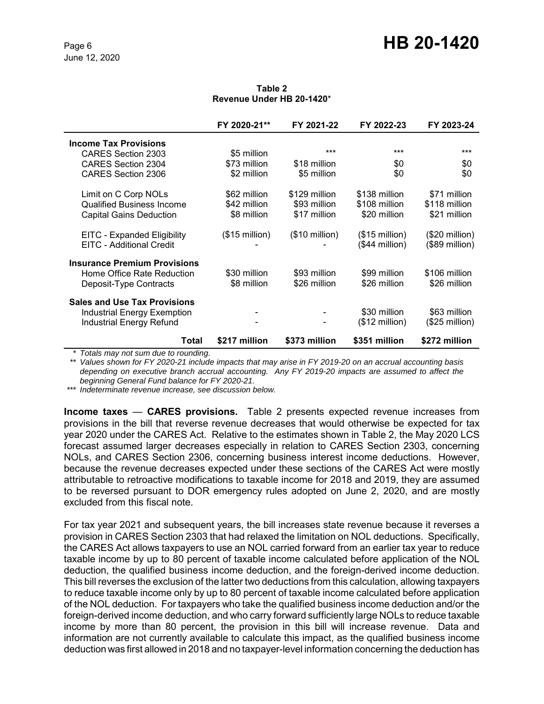#### **Table 2 Revenue Under HB 20-1420**\*

|                                     | FY 2020-21**            | FY 2021-22              | FY 2022-23              | FY 2023-24      |
|-------------------------------------|-------------------------|-------------------------|-------------------------|-----------------|
| <b>Income Tax Provisions</b>        |                         |                         |                         |                 |
| CARES Section 2303                  | \$5 million             | ***                     | ***                     | ***             |
| <b>CARES Section 2304</b>           | \$73 million            | \$18 million            | \$0                     | \$0             |
| CARES Section 2306                  | \$2 million             | \$5 million             | \$0                     | \$0             |
| Limit on C Corp NOLs                | \$62 million            | \$129 million           | \$138 million           | \$71 million    |
| <b>Qualified Business Income</b>    | \$42 million            | \$93 million            | \$108 million           | \$118 million   |
| <b>Capital Gains Deduction</b>      | \$8 million             | \$17 million            | \$20 million            | \$21 million    |
| EITC - Expanded Eligibility         | $($15 \text{ million})$ | $($10 \text{ million})$ | $($15 \text{ million})$ | $($20$ million) |
| EITC - Additional Credit            |                         |                         | (\$44 million)          | $($89$ million) |
| <b>Insurance Premium Provisions</b> |                         |                         |                         |                 |
| Home Office Rate Reduction          | \$30 million            | \$93 million            | \$99 million            | \$106 million   |
| Deposit-Type Contracts              | \$8 million             | \$26 million            | \$26 million            | \$26 million    |
| <b>Sales and Use Tax Provisions</b> |                         |                         |                         |                 |
| Industrial Energy Exemption         |                         |                         | \$30 million            | \$63 million    |
| <b>Industrial Energy Refund</b>     |                         |                         | $($12 \text{ million})$ | $($25$ million) |
| Total                               | \$217 million           | \$373 million           | \$351 million           | \$272 million   |

*\* Totals may not sum due to rounding.*

*\*\* Values shown for FY 2020-21 include impacts that may arise in FY 2019-20 on an accrual accounting basis depending on executive branch accrual accounting. Any FY 2019-20 impacts are assumed to affect the beginning General Fund balance for FY 2020-21.*

*\*\*\* Indeterminate revenue increase, see discussion below.*

**Income taxes** — **CARES provisions.** Table 2 presents expected revenue increases from provisions in the bill that reverse revenue decreases that would otherwise be expected for tax year 2020 under the CARES Act. Relative to the estimates shown in Table 2, the May 2020 LCS forecast assumed larger decreases especially in relation to CARES Section 2303, concerning NOLs, and CARES Section 2306, concerning business interest income deductions. However, because the revenue decreases expected under these sections of the CARES Act were mostly attributable to retroactive modifications to taxable income for 2018 and 2019, they are assumed to be reversed pursuant to DOR emergency rules adopted on June 2, 2020, and are mostly excluded from this fiscal note.

For tax year 2021 and subsequent years, the bill increases state revenue because it reverses a provision in CARES Section 2303 that had relaxed the limitation on NOL deductions. Specifically, the CARES Act allows taxpayers to use an NOL carried forward from an earlier tax year to reduce taxable income by up to 80 percent of taxable income calculated before application of the NOL deduction, the qualified business income deduction, and the foreign-derived income deduction. This bill reverses the exclusion of the latter two deductions from this calculation, allowing taxpayers to reduce taxable income only by up to 80 percent of taxable income calculated before application of the NOL deduction. For taxpayers who take the qualified business income deduction and/or the foreign-derived income deduction, and who carry forward sufficiently large NOLs to reduce taxable income by more than 80 percent, the provision in this bill will increase revenue. Data and information are not currently available to calculate this impact, as the qualified business income deduction was first allowed in 2018 and no taxpayer-level information concerning the deduction has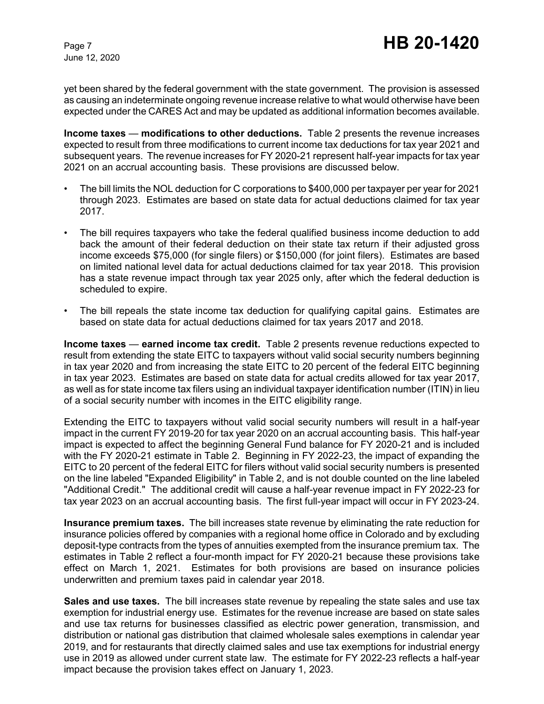yet been shared by the federal government with the state government. The provision is assessed as causing an indeterminate ongoing revenue increase relative to what would otherwise have been expected under the CARES Act and may be updated as additional information becomes available.

**Income taxes** — **modifications to other deductions.** Table 2 presents the revenue increases expected to result from three modifications to current income tax deductions for tax year 2021 and subsequent years. The revenue increases for FY 2020-21 represent half-year impacts for tax year 2021 on an accrual accounting basis. These provisions are discussed below.

- The bill limits the NOL deduction for C corporations to \$400,000 per taxpayer per year for 2021 through 2023. Estimates are based on state data for actual deductions claimed for tax year 2017.
- The bill requires taxpayers who take the federal qualified business income deduction to add back the amount of their federal deduction on their state tax return if their adjusted gross income exceeds \$75,000 (for single filers) or \$150,000 (for joint filers). Estimates are based on limited national level data for actual deductions claimed for tax year 2018. This provision has a state revenue impact through tax year 2025 only, after which the federal deduction is scheduled to expire.
- The bill repeals the state income tax deduction for qualifying capital gains. Estimates are based on state data for actual deductions claimed for tax years 2017 and 2018.

**Income taxes** — **earned income tax credit.** Table 2 presents revenue reductions expected to result from extending the state EITC to taxpayers without valid social security numbers beginning in tax year 2020 and from increasing the state EITC to 20 percent of the federal EITC beginning in tax year 2023. Estimates are based on state data for actual credits allowed for tax year 2017, as well as for state income tax filers using an individual taxpayer identification number (ITIN) in lieu of a social security number with incomes in the EITC eligibility range.

Extending the EITC to taxpayers without valid social security numbers will result in a half-year impact in the current FY 2019-20 for tax year 2020 on an accrual accounting basis. This half-year impact is expected to affect the beginning General Fund balance for FY 2020-21 and is included with the FY 2020-21 estimate in Table 2. Beginning in FY 2022-23, the impact of expanding the EITC to 20 percent of the federal EITC for filers without valid social security numbers is presented on the line labeled "Expanded Eligibility" in Table 2, and is not double counted on the line labeled "Additional Credit." The additional credit will cause a half-year revenue impact in FY 2022-23 for tax year 2023 on an accrual accounting basis. The first full-year impact will occur in FY 2023-24.

**Insurance premium taxes.** The bill increases state revenue by eliminating the rate reduction for insurance policies offered by companies with a regional home office in Colorado and by excluding deposit-type contracts from the types of annuities exempted from the insurance premium tax. The estimates in Table 2 reflect a four-month impact for FY 2020-21 because these provisions take effect on March 1, 2021. Estimates for both provisions are based on insurance policies underwritten and premium taxes paid in calendar year 2018.

**Sales and use taxes.** The bill increases state revenue by repealing the state sales and use tax exemption for industrial energy use. Estimates for the revenue increase are based on state sales and use tax returns for businesses classified as electric power generation, transmission, and distribution or national gas distribution that claimed wholesale sales exemptions in calendar year 2019, and for restaurants that directly claimed sales and use tax exemptions for industrial energy use in 2019 as allowed under current state law. The estimate for FY 2022-23 reflects a half-year impact because the provision takes effect on January 1, 2023.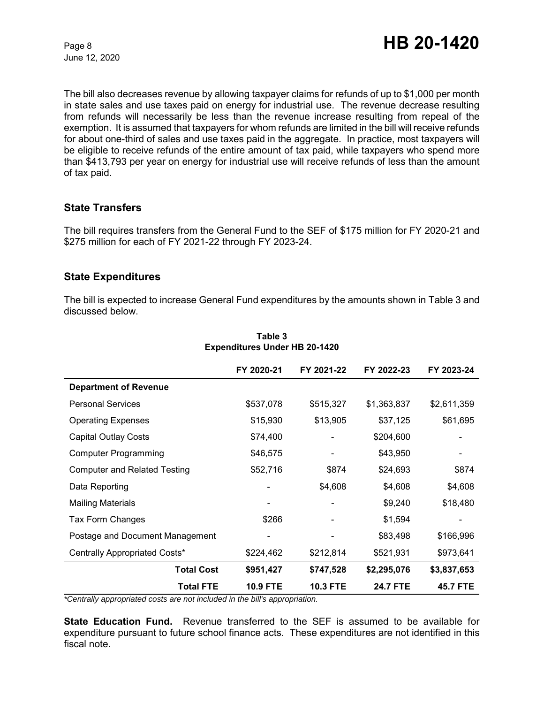The bill also decreases revenue by allowing taxpayer claims for refunds of up to \$1,000 per month in state sales and use taxes paid on energy for industrial use. The revenue decrease resulting from refunds will necessarily be less than the revenue increase resulting from repeal of the exemption. It is assumed that taxpayers for whom refunds are limited in the bill will receive refunds for about one-third of sales and use taxes paid in the aggregate. In practice, most taxpayers will be eligible to receive refunds of the entire amount of tax paid, while taxpayers who spend more than \$413,793 per year on energy for industrial use will receive refunds of less than the amount of tax paid.

## **State Transfers**

The bill requires transfers from the General Fund to the SEF of \$175 million for FY 2020-21 and \$275 million for each of FY 2021-22 through FY 2023-24.

#### **State Expenditures**

The bill is expected to increase General Fund expenditures by the amounts shown in Table 3 and discussed below.

|                                     | FY 2020-21      | FY 2021-22      | FY 2022-23      | FY 2023-24      |
|-------------------------------------|-----------------|-----------------|-----------------|-----------------|
| <b>Department of Revenue</b>        |                 |                 |                 |                 |
| <b>Personal Services</b>            | \$537,078       | \$515,327       | \$1,363,837     | \$2,611,359     |
| <b>Operating Expenses</b>           | \$15,930        | \$13,905        | \$37,125        | \$61,695        |
| <b>Capital Outlay Costs</b>         | \$74,400        |                 | \$204,600       |                 |
| <b>Computer Programming</b>         | \$46,575        |                 | \$43,950        |                 |
| <b>Computer and Related Testing</b> | \$52,716        | \$874           | \$24,693        | \$874           |
| Data Reporting                      |                 | \$4,608         | \$4,608         | \$4,608         |
| <b>Mailing Materials</b>            |                 |                 | \$9,240         | \$18,480        |
| Tax Form Changes                    | \$266           |                 | \$1,594         |                 |
| Postage and Document Management     |                 |                 | \$83,498        | \$166,996       |
| Centrally Appropriated Costs*       | \$224,462       | \$212,814       | \$521,931       | \$973,641       |
| <b>Total Cost</b>                   | \$951,427       | \$747,528       | \$2,295,076     | \$3,837,653     |
| <b>Total FTE</b>                    | <b>10.9 FTE</b> | <b>10.3 FTE</b> | <b>24.7 FTE</b> | <b>45.7 FTE</b> |

#### **Table 3 Expenditures Under HB 20-1420**

*\*Centrally appropriated costs are not included in the bill's appropriation.*

**State Education Fund.** Revenue transferred to the SEF is assumed to be available for expenditure pursuant to future school finance acts. These expenditures are not identified in this fiscal note.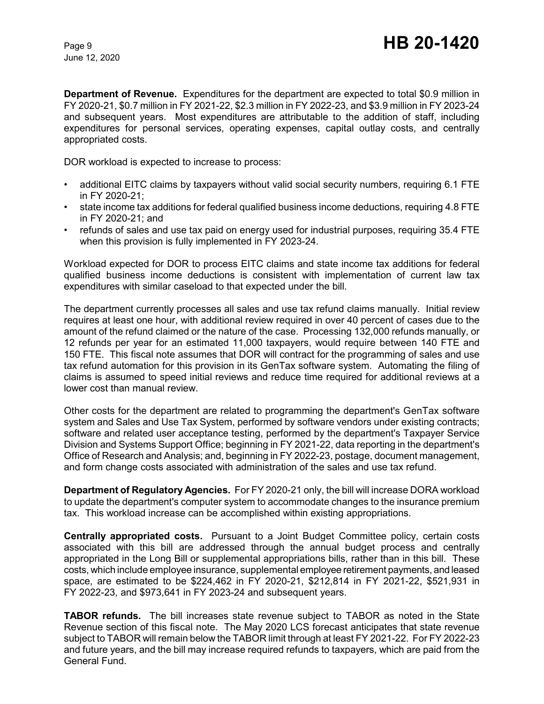**Department of Revenue.** Expenditures for the department are expected to total \$0.9 million in FY 2020-21, \$0.7 million in FY 2021-22, \$2.3 million in FY 2022-23, and \$3.9 million in FY 2023-24 and subsequent years. Most expenditures are attributable to the addition of staff, including expenditures for personal services, operating expenses, capital outlay costs, and centrally appropriated costs.

DOR workload is expected to increase to process:

- additional EITC claims by taxpayers without valid social security numbers, requiring 6.1 FTE in FY 2020-21;
- state income tax additions for federal qualified business income deductions, requiring 4.8 FTE in FY 2020-21; and
- refunds of sales and use tax paid on energy used for industrial purposes, requiring 35.4 FTE when this provision is fully implemented in FY 2023-24.

Workload expected for DOR to process EITC claims and state income tax additions for federal qualified business income deductions is consistent with implementation of current law tax expenditures with similar caseload to that expected under the bill.

The department currently processes all sales and use tax refund claims manually. Initial review requires at least one hour, with additional review required in over 40 percent of cases due to the amount of the refund claimed or the nature of the case. Processing 132,000 refunds manually, or 12 refunds per year for an estimated 11,000 taxpayers, would require between 140 FTE and 150 FTE. This fiscal note assumes that DOR will contract for the programming of sales and use tax refund automation for this provision in its GenTax software system. Automating the filing of claims is assumed to speed initial reviews and reduce time required for additional reviews at a lower cost than manual review.

Other costs for the department are related to programming the department's GenTax software system and Sales and Use Tax System, performed by software vendors under existing contracts; software and related user acceptance testing, performed by the department's Taxpayer Service Division and Systems Support Office; beginning in FY 2021-22, data reporting in the department's Office of Research and Analysis; and, beginning in FY 2022-23, postage, document management, and form change costs associated with administration of the sales and use tax refund.

**Department of Regulatory Agencies.** For FY 2020-21 only, the bill will increase DORA workload to update the department's computer system to accommodate changes to the insurance premium tax. This workload increase can be accomplished within existing appropriations.

**Centrally appropriated costs.** Pursuant to a Joint Budget Committee policy, certain costs associated with this bill are addressed through the annual budget process and centrally appropriated in the Long Bill or supplemental appropriations bills, rather than in this bill. These costs, which include employee insurance, supplemental employee retirement payments, and leased space, are estimated to be \$224,462 in FY 2020-21, \$212,814 in FY 2021-22, \$521,931 in FY 2022-23, and \$973,641 in FY 2023-24 and subsequent years.

**TABOR refunds.** The bill increases state revenue subject to TABOR as noted in the State Revenue section of this fiscal note. The May 2020 LCS forecast anticipates that state revenue subject to TABOR will remain below the TABOR limit through at least FY 2021-22. For FY 2022-23 and future years, and the bill may increase required refunds to taxpayers, which are paid from the General Fund.